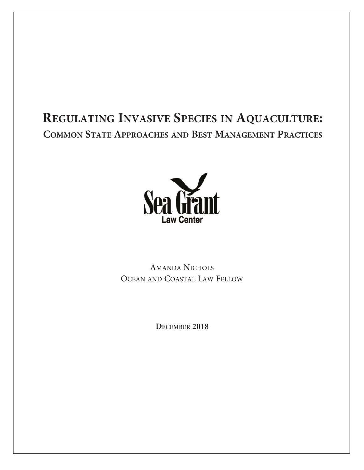# **REGULATING INVASIVE SPECIES IN AQUACULTURE: COMMON STATE APPROACHES AND BEST MANAGEMENT PRACTICES**



AMANDA NICHOLS OCEAN AND COASTAL LAW FELLOW

**DECEMBER 2018**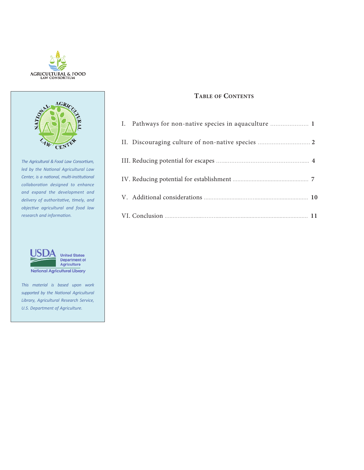



*The Agricultural &Food Law Consortium, led by the National Agricultural Law Center, is a national, multi-institutional collaboration designed to enhance and expand the development and delivery of authoritative, timely, and objective agricultural and food law research and information.*



*This material is based upon work supported by the National Agricultural Library, Agricultural Research Service, U.S. Department of Agriculture.*

# **TABLE OF CONTENTS**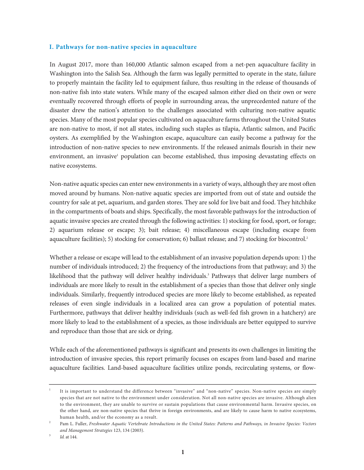#### <span id="page-2-0"></span>**I. Pathways for non-native species in aquaculture**

In August 2017, more than 160,000 Atlantic salmon escaped from a net-pen aquaculture facility in Washington into the Salish Sea. Although the farm was legally permitted to operate in the state, failure to properly maintain the facility led to equipment failure, thus resulting in the release of thousands of non-native fish into state waters. While many of the escaped salmon either died on their own or were eventually recovered through efforts of people in surrounding areas, the unprecedented nature of the disaster drew the nation's attention to the challenges associated with culturing non-native aquatic species. Many of the most popular species cultivated on aquaculture farms throughout the United States are non-native to most, if not all states, including such staples as tilapia, Atlantic salmon, and Pacific oysters. As exemplified by the Washington escape, aquaculture can easily become a pathway for the introduction of non-native species to new environments. If the released animals flourish in their new environment, an invasive<sup>1</sup> population can become established, thus imposing devastating effects on native ecosystems.

Non-native aquatic species can enter new environments in a variety of ways, although they are most often moved around by humans. Non-native aquatic species are imported from out of state and outside the country for sale at pet, aquarium, and garden stores. They are sold for live bait and food. They hitchhike in the compartments of boats and ships. Specifically, the most favorable pathways for the introduction of aquatic invasive species are created through the following activities: 1) stocking for food, sport, or forage; 2) aquarium release or escape; 3); bait release; 4) miscellaneous escape (including escape from aquaculture facilities); 5) stocking for conservation; 6) ballast release; and 7) stocking for biocontrol. 2

Whether a release or escape will lead to the establishment of an invasive population depends upon: 1) the number of individuals introduced; 2) the frequency of the introductions from that pathway; and 3) the likelihood that the pathway will deliver healthy individuals. <sup>3</sup> Pathways that deliver large numbers of individuals are more likely to result in the establishment of a species than those that deliver only single individuals. Similarly, frequently introduced species are more likely to become established, as repeated releases of even single individuals in a localized area can grow a population of potential mates. Furthermore, pathways that deliver healthy individuals (such as well-fed fish grown in a hatchery) are more likely to lead to the establishment of a species, as those individuals are better equipped to survive and reproduce than those that are sick or dying.

While each of the aforementioned pathways is significant and presents its own challenges in limiting the introduction of invasive species, this report primarily focuses on escapes from land-based and marine aquaculture facilities. Land-based aquaculture facilities utilize ponds, recirculating systems, or flow-

<sup>1</sup> It is important to understand the difference between "invasive" and "non-native" species. Non-native species are simply species that are not native to the environment under consideration. Not all non-native species are invasive. Although alien to the environment, they are unable to survive or sustain populations that cause environmental harm. Invasive species, on the other hand, are non-native species that thrive in foreign environments, and are likely to cause harm to native ecosystems, human health, and/or the economy as a result.

Pam L. Fuller, Freshwater Aquatic Vertebrate Introductions in the United States: Patterns and Pathways, in Invasive Species: Vectors *and Management Strategies* 123, 134 (2003).

*Id.* at 144.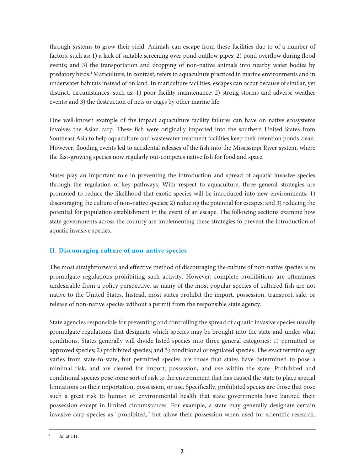<span id="page-3-0"></span>through systems to grow their yield. Animals can escape from these facilities due to of a number of factors, such as: 1) a lack of suitable screening over pond outflow pipes; 2) pond overflow during flood events; and 3) the transportation and dropping of non-native animals into nearby water bodies by predatory birds. <sup>4</sup> Mariculture, in contrast, refers to aquaculture practiced in marine environments and in underwater habitats instead of on land. In mariculture facilities, escapes can occur because of similar, yet distinct, circumstances, such as: 1) poor facility maintenance; 2) strong storms and adverse weather events; and 3) the destruction of nets or cages by other marine life.

One well-known example of the impact aquaculture facility failures can have on native ecosystems involves the Asian carp. These fish were originally imported into the southern United States from Southeast Asia to help aquaculture and wastewater treatment facilities keep their retention ponds clean. However, flooding events led to accidental releases of the fish into the Mississippi River system, where the fast-growing species now regularly out-competes native fish for food and space.

States play an important role in preventing the introduction and spread of aquatic invasive species through the regulation of key pathways. With respect to aquaculture, three general strategies are promoted to reduce the likelihood that exotic species will be introduced into new environments: 1) discouraging the culture of non-native species; 2) reducing the potential for escapes; and 3) reducing the potential for population establishment in the event of an escape. The following sections examine how state governments across the country are implementing these strategies to prevent the introduction of aquatic invasive species.

# **II. Discouraging culture of non-native species**

The most straightforward and effective method of discouraging the culture of non-native species is to promulgate regulations prohibiting such activity. However, complete prohibitions are oftentimes undesirable from a policy perspective, as many of the most popular species of cultured fish are not native to the United States. Instead, most states prohibit the import, possession, transport, sale, or release of non-native species without a permit from the responsible state agency.

State agencies responsible for preventing and controlling the spread of aquatic invasive species usually promulgate regulations that designate which species may be brought into the state and under what conditions. States generally will divide listed species into three general categories: 1) permitted or approved species; 2) prohibited species; and 3) conditional or regulated species. The exact terminology varies from state-to-state, but permitted species are those that states have determined to pose a minimal risk, and are cleared for import, possession, and use within the state. Prohibited and conditional species pose some sort of risk to the environment that has caused the state to place special limitations on their importation, possession, or use. Specifically, prohibited species are those that pose such a great risk to human or environmental health that state governments have banned their possession except in limited circumstances. For example, a state may generally designate certain invasive carp species as "prohibited," but allow their possession when used for scientific research.

<sup>4</sup> *Id*. at 141.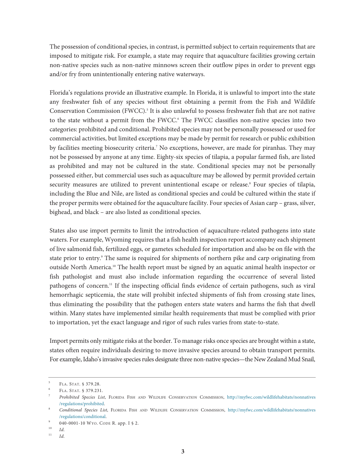The possession of conditional species, in contrast, is permitted subject to certain requirements that are imposed to mitigate risk. For example, a state may require that aquaculture facilities growing certain non-native species such as non-native minnows screen their outflow pipes in order to prevent eggs and/or fry from unintentionally entering native waterways.

Florida's regulations provide an illustrative example. In Florida, it is unlawful to import into the state any freshwater fish of any species without first obtaining a permit from the Fish and Wildlife Conservation Commission (FWCC). <sup>5</sup> It is also unlawful to possess freshwater fish that are not native to the state without a permit from the FWCC. <sup>6</sup> The FWCC classifies non-native species into two categories: prohibited and conditional. Prohibited species may not be personally possessed or used for commercial activities, but limited exceptions may be made by permit for research or public exhibition by facilities meeting biosecurity criteria. <sup>7</sup> No exceptions, however, are made for piranhas. They may not be possessed by anyone at any time. Eighty-six species of tilapia, a popular farmed fish, are listed as prohibited and may not be cultured in the state. Conditional species may not be personally possessed either, but commercial uses such as aquaculture may be allowed by permit provided certain security measures are utilized to prevent unintentional escape or release.<sup>8</sup> Four species of tilapia, including the Blue and Nile, are listed as conditional species and could be cultured within the state if the proper permits were obtained for the aquaculture facility. Four species of Asian carp – grass, silver, bighead, and black – are also listed as conditional species.

States also use import permits to limit the introduction of aquaculture-related pathogens into state waters. For example, Wyoming requires that a fish health inspection report accompany each shipment of live salmonid fish, fertilized eggs, or gametes scheduled for importation and also be on file with the state prior to entry. <sup>9</sup> The same is required for shipments of northern pike and carp originating from outside North America. <sup>10</sup> The health report must be signed by an aquatic animal health inspector or fish pathologist and must also include information regarding the occurrence of several listed pathogens of concern. <sup>11</sup> If the inspecting official finds evidence of certain pathogens, such as viral hemorrhagic septicemia, the state will prohibit infected shipments of fish from crossing state lines, thus eliminating the possibility that the pathogen enters state waters and harms the fish that dwell within. Many states have implemented similar health requirements that must be complied with prior to importation, yet the exact language and rigor of such rules varies from state-to-state.

Import permits only mitigate risks at the border. To manage risks once species are brought within a state, states often require individuals desiring to move invasive species around to obtain transport permits. For example, Idaho's invasive species rules designate three non-native species—the New Zealand Mud Snail,

<sup>5</sup> FLA. STAT. § 379.28.

<sup>6</sup> FLA. STAT. § 379.231.

<sup>7</sup> *Prohibited Species List*, FLORIDA FISH AND WILDLIFE CONSERVATION COMMISSION, [http://myfwc.com/wildlifehabitats/nonnatives](http://myfwc.com/wildlifehabitats/nonnatives/regulations/prohibited) /regulations/prohibited.

<sup>8</sup> *Conditional Species List*, FLORIDA FISH AND WILDLIFE CONSERVATION COMMISSION, [http://myfwc.com/wildlifehabitats/nonnatives](http://myfwc.com/wildlifehabitats/nonnatives/regulations/conditional) /regulations/conditional.

 $^{9}$  040-0001-10 Wyo. CODE R. app. I § 2.

<sup>10</sup> *Id.*

<sup>11</sup> *Id.*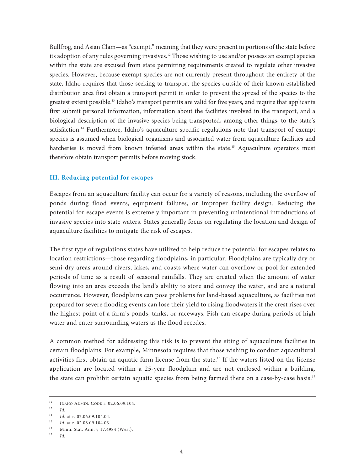<span id="page-5-0"></span>Bullfrog, and Asian Clam—as "exempt," meaning that they were present in portions of the state before its adoption of any rules governing invasives. <sup>12</sup> Those wishing to use and/or possess an exempt species within the state are excused from state permitting requirements created to regulate other invasive species. However, because exempt species are not currently present throughout the entirety of the state, Idaho requires that those seeking to transport the species outside of their known established distribution area first obtain a transport permit in order to prevent the spread of the species to the greatest extent possible. <sup>13</sup> Idaho's transport permits are valid for five years, and require that applicants first submit personal information, information about the facilities involved in the transport, and a biological description of the invasive species being transported, among other things, to the state's satisfaction. <sup>14</sup> Furthermore, Idaho's aquaculture-specific regulations note that transport of exempt species is assumed when biological organisms and associated water from aquaculture facilities and hatcheries is moved from known infested areas within the state. <sup>15</sup> Aquaculture operators must therefore obtain transport permits before moving stock.

#### **III. Reducing potential for escapes**

Escapes from an aquaculture facility can occur for a variety of reasons, including the overflow of ponds during flood events, equipment failures, or improper facility design. Reducing the potential for escape events is extremely important in preventing unintentional introductions of invasive species into state waters. States generally focus on regulating the location and design of aquaculture facilities to mitigate the risk of escapes.

The first type of regulations states have utilized to help reduce the potential for escapes relates to location restrictions—those regarding floodplains, in particular. Floodplains are typically dry or semi-dry areas around rivers, lakes, and coasts where water can overflow or pool for extended periods of time as a result of seasonal rainfalls. They are created when the amount of water flowing into an area exceeds the land's ability to store and convey the water, and are a natural occurrence. However, floodplains can pose problems for land-based aquaculture, as facilities not prepared for severe flooding events can lose their yield to rising floodwaters if the crest rises over the highest point of a farm's ponds, tanks, or raceways. Fish can escape during periods of high water and enter surrounding waters as the flood recedes.

A common method for addressing this risk is to prevent the siting of aquaculture facilities in certain floodplains. For example, Minnesota requires that those wishing to conduct aquacultural activities first obtain an aquatic farm license from the state. <sup>16</sup> If the waters listed on the license application are located within a 25-year floodplain and are not enclosed within a building, the state can prohibit certain aquatic species from being farmed there on a case-by-case basis.<sup>17</sup>

<sup>&</sup>lt;sup>12</sup> IDAHO ADMIN. CODE r. 02.06.09.104.

<sup>13</sup> *Id.*

<sup>&</sup>lt;sup>14</sup> *Id.* at r. 02.06.09.104.04.<br><sup>15</sup> *Id.* at n. 02.06.00.104.02.

*Id.* at r. 02.06.09.104.03.

<sup>&</sup>lt;sup>16</sup> Minn. Stat. Ann. § 17.4984 (West).

<sup>17</sup> *Id.*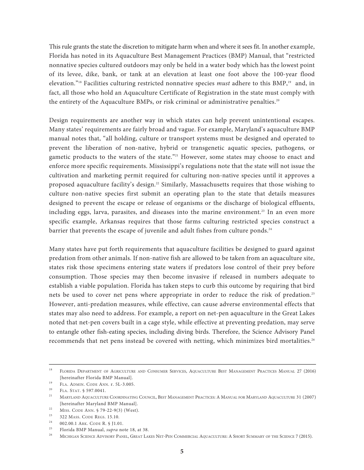This rule grants the state the discretion to mitigate harm when and where it sees fit. In another example, Florida has noted in its Aquaculture Best Management Practices (BMP) Manual, that "restricted nonnative species cultured outdoors may only be held in a water body which has the lowest point of its levee, dike, bank, or tank at an elevation at least one foot above the 100-year flood elevation."18 Facilities culturing restricted nonnative species *must* adhere to this BMP, <sup>19</sup> and, in fact, all those who hold an Aquaculture Certificate of Registration in the state must comply with the entirety of the Aquaculture BMPs, or risk criminal or administrative penalties.<sup>20</sup>

Design requirements are another way in which states can help prevent unintentional escapes. Many states' requirements are fairly broad and vague. For example, Maryland's aquaculture BMP manual notes that, "all holding, culture or transport systems must be designed and operated to prevent the liberation of non-native, hybrid or transgenetic aquatic species, pathogens, or gametic products to the waters of the state."<sup>21</sup> However, some states may choose to enact and enforce more specific requirements. Mississippi's regulations note that the state will not issue the cultivation and marketing permit required for culturing non-native species until it approves a proposed aquaculture facility's design. <sup>22</sup> Similarly, Massachusetts requires that those wishing to culture non-native species first submit an operating plan to the state that details measures designed to prevent the escape or release of organisms or the discharge of biological effluents, including eggs, larva, parasites, and diseases into the marine environment. <sup>23</sup> In an even more specific example, Arkansas requires that those farms culturing restricted species construct a barrier that prevents the escape of juvenile and adult fishes from culture ponds. 24

Many states have put forth requirements that aquaculture facilities be designed to guard against predation from other animals. If non-native fish are allowed to be taken from an aquaculture site, states risk those specimens entering state waters if predators lose control of their prey before consumption. Those species may then become invasive if released in numbers adequate to establish a viable population. Florida has taken steps to curb this outcome by requiring that bird nets be used to cover net pens where appropriate in order to reduce the risk of predation.<sup>25</sup> However, anti-predation measures, while effective, can cause adverse environmental effects that states may also need to address. For example, a report on net-pen aquaculture in the Great Lakes noted that net-pen covers built in a cage style, while effective at preventing predation, may serve to entangle other fish-eating species, including diving birds. Therefore, the Science Advisory Panel recommends that net pens instead be covered with netting, which minimizes bird mortalities. 26

<sup>&</sup>lt;sup>18</sup> FLORIDA DEPARTMENT OF AGRICULTURE AND CONSUMER SERVICES, AQUACULTURE BEST MANAGEMENT PRACTICES MANUAL 27 (2016) [hereinafter Florida BMP Manual].

<sup>19</sup> FLA. ADMIN. CODE ANN. r. 5L-3.005.

<sup>&</sup>lt;sup>20</sup> FLA. STAT.  $$597.0041$ .

<sup>21</sup> MARYLAND AQUACULTURE COORDINATING COUNCIL, BEST MANAGEMENT PRACTICES: A MANUAL FOR MARYLAND AQUACULTURE 31 (2007) [hereinafter Maryland BMP Manual].

<sup>&</sup>lt;sup>22</sup> MISS. CODE ANN.  $\frac{579-22-9(3)}{1510}$  (West).

<sup>&</sup>lt;sup>23</sup> 322 MASS. CODE REGS. 15.10.<br><sup>24</sup> 002.00.1 APK. CODE B 5.11.0

<sup>002.00.1</sup> ARK. CODE R. § J1.01.

<sup>25</sup> Florida BMP Manual, *supra* note 18, at 38.

<sup>&</sup>lt;sup>26</sup> MICHIGAN SCIENCE ADVISORY PANEL, GREAT LAKES NET-PEN COMMERCIAL AQUACULTURE: A SHORT SUMMARY OF THE SCIENCE 7 (2015).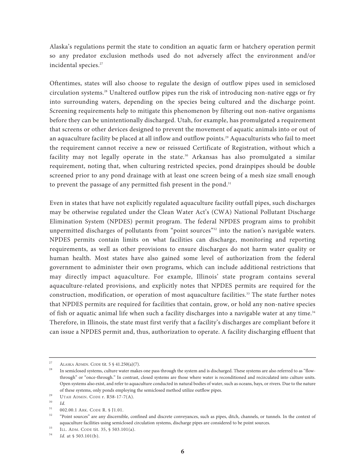Alaska's regulations permit the state to condition an aquatic farm or hatchery operation permit so any predator exclusion methods used do not adversely affect the environment and/or incidental species. 27

Oftentimes, states will also choose to regulate the design of outflow pipes used in semiclosed circulation systems. <sup>28</sup> Unaltered outflow pipes run the risk of introducing non-native eggs or fry into surrounding waters, depending on the species being cultured and the discharge point. Screening requirements help to mitigate this phenomenon by filtering out non-native organisms before they can be unintentionally discharged. Utah, for example, has promulgated a requirement that screens or other devices designed to prevent the movement of aquatic animals into or out of an aquaculture facility be placed at all inflow and outflow points. <sup>29</sup> Aquaculturists who fail to meet the requirement cannot receive a new or reissued Certificate of Registration, without which a facility may not legally operate in the state. <sup>30</sup> Arkansas has also promulgated a similar requirement, noting that, when culturing restricted species, pond drainpipes should be double screened prior to any pond drainage with at least one screen being of a mesh size small enough to prevent the passage of any permitted fish present in the pond.<sup>31</sup>

Even in states that have not explicitly regulated aquaculture facility outfall pipes, such discharges may be otherwise regulated under the Clean Water Act's (CWA) National Pollutant Discharge Elimination System (NPDES) permit program. The federal NPDES program aims to prohibit unpermitted discharges of pollutants from "point sources"<sup>32</sup> into the nation's navigable waters. NPDES permits contain limits on what facilities can discharge, monitoring and reporting requirements, as well as other provisions to ensure discharges do not harm water quality or human health. Most states have also gained some level of authorization from the federal government to administer their own programs, which can include additional restrictions that may directly impact aquaculture. For example, Illinois' state program contains several aquaculture-related provisions, and explicitly notes that NPDES permits are required for the construction, modification, or operation of most aquaculture facilities. <sup>33</sup> The state further notes that NPDES permits are required for facilities that contain, grow, or hold any non-native species of fish or aquatic animal life when such a facility discharges into a navigable water at any time.<sup>34</sup> Therefore, in Illinois, the state must first verify that a facility's discharges are compliant before it can issue a NPDES permit and, thus, authorization to operate. A facility discharging effluent that

ALASKA ADMIN. CODE tit. 5 § 41.250(a)(7).

<sup>&</sup>lt;sup>28</sup> In semiclosed systems, culture water makes one pass through the system and is discharged. These systems are also referred to as "flowthrough" or "once-through." In contrast, closed systems are those where water is reconditioned and recirculated into culture units. Open systems also exist, and refer to aquaculture conducted in natural bodies of water, such as oceans, bays, or rivers. Due to the nature of these systems, only ponds employing the semiclosed method utilize outflow pipes.

<sup>&</sup>lt;sup>29</sup> UTAH ADMIN. CODE r. R58-17-7(A).

 $\frac{30}{31}$  *Id.* 

 $^{31}$  002.00.1 ARK. CODE R. § J1.01.<br> $^{32}$  "Doint courses" are any discounib

<sup>32</sup> "Point sources" are any discernible, confined and discrete conveyances, such as pipes, ditch, channels, or tunnels. In the context of aquaculture facilities using semiclosed circulation systems, discharge pipes are considered to be point sources.

<sup>&</sup>lt;sup>33</sup> ILL. ADM. CODE tit. 35, § 503.101(a).

*Id.* at § 503.101(b).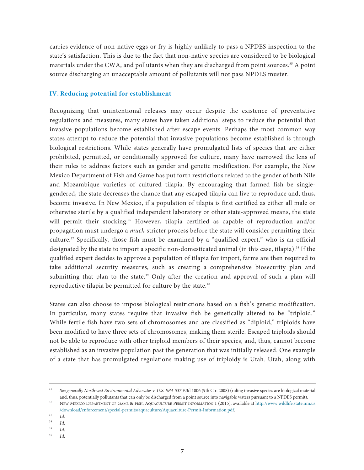<span id="page-8-0"></span>carries evidence of non-native eggs or fry is highly unlikely to pass a NPDES inspection to the state's satisfaction. This is due to the fact that non-native species are considered to be biological materials under the CWA, and pollutants when they are discharged from point sources. <sup>35</sup> A point source discharging an unacceptable amount of pollutants will not pass NPDES muster.

#### **IV. Reducing potential for establishment**

Recognizing that unintentional releases may occur despite the existence of preventative regulations and measures, many states have taken additional steps to reduce the potential that invasive populations become established after escape events. Perhaps the most common way states attempt to reduce the potential that invasive populations become established is through biological restrictions. While states generally have promulgated lists of species that are either prohibited, permitted, or conditionally approved for culture, many have narrowed the lens of their rules to address factors such as gender and genetic modification. For example, the New Mexico Department of Fish and Game has put forth restrictions related to the gender of both Nile and Mozambique varieties of cultured tilapia. By encouraging that farmed fish be singlegendered, the state decreases the chance that any escaped tilapia can live to reproduce and, thus, become invasive. In New Mexico, if a population of tilapia is first certified as either all male or otherwise sterile by a qualified independent laboratory or other state-approved means, the state will permit their stocking. <sup>36</sup> However, tilapia certified as capable of reproduction and/or propagation must undergo a *much* stricter process before the state will consider permitting their culture. <sup>37</sup> Specifically, those fish must be examined by a "qualified expert," who is an official designated by the state to import a specific non-domesticated animal (in this case, tilapia). <sup>38</sup> If the qualified expert decides to approve a population of tilapia for import, farms are then required to take additional security measures, such as creating a comprehensive biosecurity plan and submitting that plan to the state. <sup>39</sup> Only after the creation and approval of such a plan will reproductive tilapia be permitted for culture by the state. 40

States can also choose to impose biological restrictions based on a fish's genetic modification. In particular, many states require that invasive fish be genetically altered to be "triploid." While fertile fish have two sets of chromosomes and are classified as "diploid," triploids have been modified to have three sets of chromosomes, making them sterile. Escaped triploids should not be able to reproduce with other triploid members of their species, and, thus, cannot become established as an invasive population past the generation that was initially released. One example of a state that has promulgated regulations making use of triploidy is Utah. Utah, along with

<sup>35</sup> *See generally Northwest Environmental Advocates v. U.S. EPA 537* F.3d 1006 (9th Cir. 2008) (ruling invasive species are biological material and, thus, potentially pollutants that can only be discharged from a point source into navigable waters pursuant to a NPDES permit).

<sup>36</sup> NEW MEXICO DEPARTMENT OF GAME & FISH, AQUACULTURE PERMIT INFORMATION 1 (2015), available at http://www.wildlife.state.nm.us [/download/enforcement/special-permits/aquaculture/Aquaculture-Permit-Information.pdf.](http://www.wildlife.state.nm.us/download/enforcement/special-permits/aquaculture/Aquaculture-Permit-Information.pdf)

 $rac{37}{38}$  *Id.* 

 $\frac{38}{39}$  *Id.* 

*Id.* 

<sup>40</sup> *Id.*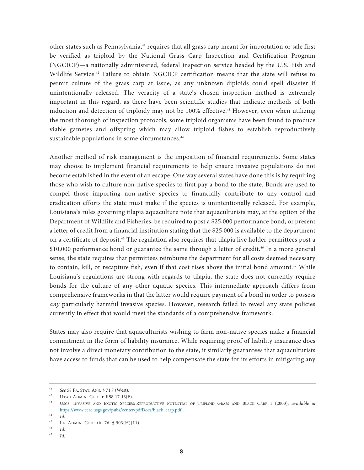other states such as Pennsylvania, <sup>41</sup> requires that all grass carp meant for importation or sale first be verified as triploid by the National Grass Carp Inspection and Certification Program (NGCICP)—a nationally administered, federal inspection service headed by the U.S. Fish and Wildlife Service. <sup>42</sup> Failure to obtain NGCICP certification means that the state will refuse to permit culture of the grass carp at issue, as any unknown diploids could spell disaster if unintentionally released. The veracity of a state's chosen inspection method is extremely important in this regard, as there have been scientific studies that indicate methods of both induction and detection of triploidy may not be 100% effective. <sup>43</sup> However, even when utilizing the most thorough of inspection protocols, some triploid organisms have been found to produce viable gametes and offspring which may allow triploid fishes to establish reproductively sustainable populations in some circumstances. 44

Another method of risk management is the imposition of financial requirements. Some states may choose to implement financial requirements to help ensure invasive populations do not become established in the event of an escape. One way several states have done this is by requiring those who wish to culture non-native species to first pay a bond to the state. Bonds are used to compel those importing non-native species to financially contribute to any control and eradication efforts the state must make if the species is unintentionally released. For example, Louisiana's rules governing tilapia aquaculture note that aquaculturists may, at the option of the Department of Wildlife and Fisheries, be required to post a \$25,000 performance bond, or present a letter of credit from a financial institution stating that the \$25,000 is available to the department on a certificate of deposit. <sup>45</sup> The regulation also requires that tilapia live holder permittees post a \$10,000 performance bond or guarantee the same through a letter of credit. <sup>46</sup> In a more general sense, the state requires that permittees reimburse the department for all costs deemed necessary to contain, kill, or recapture fish, even if that cost rises above the initial bond amount. <sup>47</sup> While Louisiana's regulations are strong with regards to tilapia, the state does not currently require bonds for the culture of any other aquatic species. This intermediate approach differs from comprehensive frameworks in that the latter would require payment of a bond in order to possess *any* particularly harmful invasive species. However, research failed to reveal any state policies currently in effect that would meet the standards of a comprehensive framework.

States may also require that aquaculturists wishing to farm non-native species make a financial commitment in the form of liability insurance. While requiring proof of liability insurance does not involve a direct monetary contribution to the state, it similarly guarantees that aquaculturists have access to funds that can be used to help compensate the state for its efforts in mitigating any

<sup>41</sup> *See* 58 PA. STAT. ANN. § 71.7 (West).

<sup>42</sup> UTAH ADMIN. CODE r. R58-17-13(E).

<sup>43</sup> USGS, INVASIVE AND EXOTIC SPECIES: REPRODUCTIVE POTENTIAL OF TRIPLOID GRASS AND BLACK CARP 1 (2003), *available at* https://www.cerc.usgs.gov/pubs/center/pdfDocs/black\_carp.pdf.

 $\frac{44}{45}$  *Id.* 

<sup>&</sup>lt;sup>45</sup> LA. ADMIN. CODE tit. 76, § 903(H)(11).

 $\frac{46}{47}$  *Id.* 

<sup>47</sup> *Id.*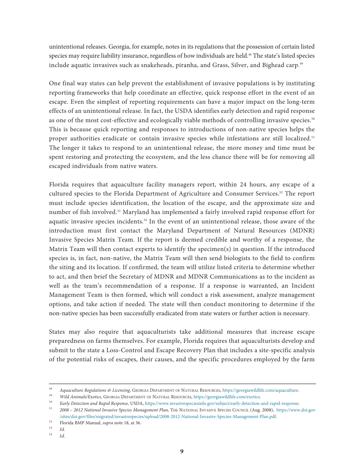unintentional releases. Georgia, for example, notes in its regulations that the possession of certain listed species may require liability insurance, regardless of how individuals are held. <sup>48</sup> The state's listed species include aquatic invasives such as snakeheads, piranha, and Grass, Silver, and Bighead carp. 49

One final way states can help prevent the establishment of invasive populations is by instituting reporting frameworks that help coordinate an effective, quick response effort in the event of an escape. Even the simplest of reporting requirements can have a major impact on the long-term effects of an unintentional release. In fact, the USDA identifies early detection and rapid response as one of the most cost-effective and ecologically viable methods of controlling invasive species. $^{\text{\tiny{50}}}$ This is because quick reporting and responses to introductions of non-native species helps the proper authorities eradicate or contain invasive species while infestations are still localized.<sup>51</sup> The longer it takes to respond to an unintentional release, the more money and time must be spent restoring and protecting the ecosystem, and the less chance there will be for removing all escaped individuals from native waters.

Florida requires that aquaculture facility managers report, within 24 hours, any escape of a cultured species to the Florida Department of Agriculture and Consumer Services. <sup>52</sup> The report must include species identification, the location of the escape, and the approximate size and number of fish involved. <sup>53</sup> Maryland has implemented a fairly involved rapid response effort for aquatic invasive species incidents. <sup>54</sup> In the event of an unintentional release, those aware of the introduction must first contact the Maryland Department of Natural Resources (MDNR) Invasive Species Matrix Team. If the report is deemed credible and worthy of a response, the Matrix Team will then contact experts to identify the specimen $(s)$  in question. If the introduced species is, in fact, non-native, the Matrix Team will then send biologists to the field to confirm the siting and its location. If confirmed, the team will utilize listed criteria to determine whether to act, and then brief the Secretary of MDNR and MDNR Communications as to the incident as well as the team's recommendation of a response. If a response is warranted, an Incident Management Team is then formed, which will conduct a risk assessment, analyze management options, and take action if needed. The state will then conduct monitoring to determine if the non-native species has been successfully eradicated from state waters or further action is necessary.

States may also require that aquaculturists take additional measures that increase escape preparedness on farms themselves. For example, Florida requires that aquaculturists develop and submit to the state a Loss-Control and Escape Recovery Plan that includes a site-specific analysis of the potential risks of escapes, their causes, and the specific procedures employed by the farm

<sup>48</sup> *Aquaculture Regulations & Licensing,* GEORGIA DEPARTMENT OF NATURAL RESOURCES, https://georgiawildlife.com/aquaculture.

<sup>49</sup> *Wild Animals/Exotics,* GEORGIA DEPARTMENT OF NATURAL RESOURCES, https://georgiawildlife.com/exotics.

<sup>50</sup> *Early Detection and Rapid Response,* USDA, https://www.invasivespeciesinfo.gov/subject/early-detection-and-rapid-response.

<sup>51</sup> *2008 – 2012 National Invasive Species Management Plan,* THE NATIONAL INVASIVE SPECIES COUNCIL (Aug. 2008), https://www.doi.gov [/sites/doi.gov/files/migrated/invasivespecies/upload/2008-2012-National-Invasive-Species-Management-Plan.pdf.](https://www.dot.gov/sites/doi.gov/files/migrated/invasivespecies/upload/2008-2012-National-Invasive-Species-Management-Plan.pdf)

<sup>52</sup> Florida BMP Manual, *supra* note 18, at 36.

 $\begin{array}{cc} 53 & Id. \\ 54 & IJ. \end{array}$ <sup>54</sup> *Id.*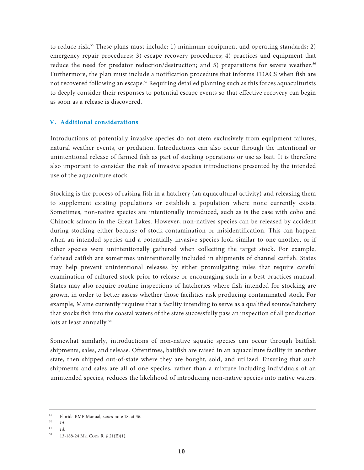<span id="page-11-0"></span>to reduce risk. <sup>55</sup> These plans must include: 1) minimum equipment and operating standards; 2) emergency repair procedures; 3) escape recovery procedures; 4) practices and equipment that reduce the need for predator reduction/destruction; and 5) preparations for severe weather. 56 Furthermore, the plan must include a notification procedure that informs FDACS when fish are not recovered following an escape. <sup>57</sup> Requiring detailed planning such as this forces aquaculturists to deeply consider their responses to potential escape events so that effective recovery can begin as soon as a release is discovered.

### **V. Additional considerations**

Introductions of potentially invasive species do not stem exclusively from equipment failures, natural weather events, or predation. Introductions can also occur through the intentional or unintentional release of farmed fish as part of stocking operations or use as bait. It is therefore also important to consider the risk of invasive species introductions presented by the intended use of the aquaculture stock.

Stocking is the process of raising fish in a hatchery (an aquacultural activity) and releasing them to supplement existing populations or establish a population where none currently exists. Sometimes, non-native species are intentionally introduced, such as is the case with coho and Chinook salmon in the Great Lakes. However, non-natives species can be released by accident during stocking either because of stock contamination or misidentification. This can happen when an intended species and a potentially invasive species look similar to one another, or if other species were unintentionally gathered when collecting the target stock. For example, flathead catfish are sometimes unintentionally included in shipments of channel catfish. States may help prevent unintentional releases by either promulgating rules that require careful examination of cultured stock prior to release or encouraging such in a best practices manual. States may also require routine inspections of hatcheries where fish intended for stocking are grown, in order to better assess whether those facilities risk producing contaminated stock. For example, Maine currently requires that a facility intending to serve as a qualified source/hatchery that stocks fish into the coastal waters of the state successfully pass an inspection of all production lots at least annually. 58

Somewhat similarly, introductions of non-native aquatic species can occur through baitfish shipments, sales, and release. Oftentimes, baitfish are raised in an aquaculture facility in another state, then shipped out-of-state where they are bought, sold, and utilized. Ensuring that such shipments and sales are all of one species, rather than a mixture including individuals of an unintended species, reduces the likelihood of introducing non-native species into native waters.

<sup>55</sup> Florida BMP Manual, *supra* note 18, at 36.

 $\frac{56}{57}$  *Id.* 

 $\frac{57}{58}$  *Id.* 

<sup>58</sup> 13-188-24 ME. CODE R. § 21(E)(1).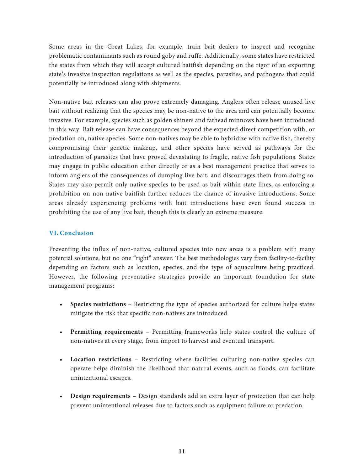<span id="page-12-0"></span>Some areas in the Great Lakes, for example, train bait dealers to inspect and recognize problematic contaminants such as round goby and ruffe. Additionally, some states have restricted the states from which they will accept cultured baitfish depending on the rigor of an exporting state's invasive inspection regulations as well as the species, parasites, and pathogens that could potentially be introduced along with shipments.

Non-native bait releases can also prove extremely damaging. Anglers often release unused live bait without realizing that the species may be non-native to the area and can potentially become invasive. For example, species such as golden shiners and fathead minnows have been introduced in this way. Bait release can have consequences beyond the expected direct competition with, or predation on, native species. Some non-natives may be able to hybridize with native fish, thereby compromising their genetic makeup, and other species have served as pathways for the introduction of parasites that have proved devastating to fragile, native fish populations. States may engage in public education either directly or as a best management practice that serves to inform anglers of the consequences of dumping live bait, and discourages them from doing so. States may also permit only native species to be used as bait within state lines, as enforcing a prohibition on non-native baitfish further reduces the chance of invasive introductions. Some areas already experiencing problems with bait introductions have even found success in prohibiting the use of any live bait, though this is clearly an extreme measure.

# **VI. Conclusion**

Preventing the influx of non-native, cultured species into new areas is a problem with many potential solutions, but no one "right" answer. The best methodologies vary from facility-to-facility depending on factors such as location, species, and the type of aquaculture being practiced. However, the following preventative strategies provide an important foundation for state management programs:

- **Species restrictions** Restricting the type of species authorized for culture helps states mitigate the risk that specific non-natives are introduced.
- **Permitting requirements** Permitting frameworks help states control the culture of non-natives at every stage, from import to harvest and eventual transport.
- **Location restrictions** Restricting where facilities culturing non-native species can operate helps diminish the likelihood that natural events, such as floods, can facilitate unintentional escapes.
- **Design requirements** Design standards add an extra layer of protection that can help prevent unintentional releases due to factors such as equipment failure or predation.